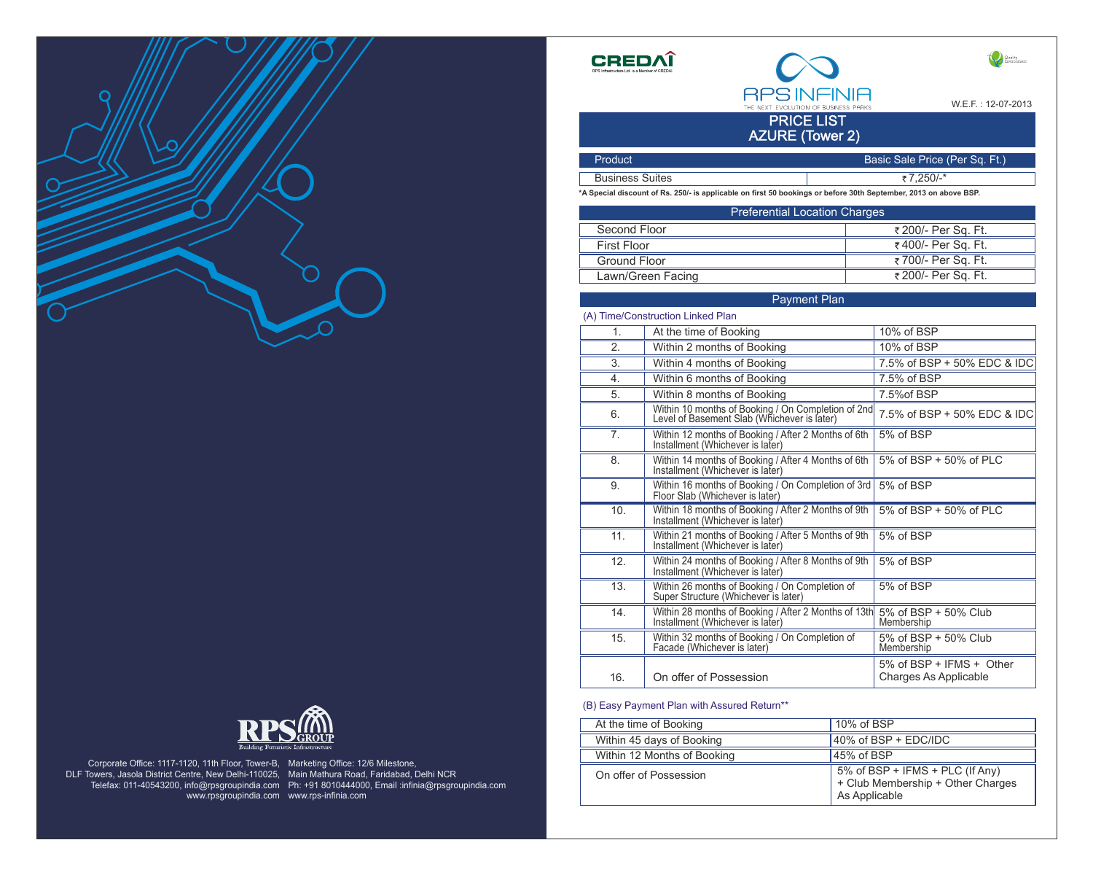



www.rpsgroupindia.com www.rps-infinia.com Corporate Office: 1117-1120, 11th Floor, Tower-B, DLF Towers, Jasola District Centre, New Delhi-110025,

Telefax: 011-40543200, info@rpsgroupindia.com Ph: +91 8010444000, Email :infinia@rpsgroupindia.com Marketing Office: 12/6 Milestone, Main Mathura Road, Faridabad, Delhi NCR

**CREDA** 



W.E.F. : 12-07-2013

Quality

PRICE LIST AZURE (Tower 2)

| Product <sup>'</sup>   | Basic Sale Price (Per Sq. Ft.) |
|------------------------|--------------------------------|
| <b>Business Suites</b> | ₹7,250/-*                      |
|                        |                                |

**\*A Special discount of Rs. 250/- is applicable on first 50 bookings or before 30th September, 2013 on above BSP.**

| <b>Preferential Location Charges</b> |                    |  |
|--------------------------------------|--------------------|--|
| Second Floor                         | ₹200/- Per Sq. Ft. |  |
| <b>First Floor</b>                   | ₹400/- Per Sq. Ft. |  |
| Ground Floor                         | ₹700/- Per Sq. Ft. |  |
| Lawn/Green Facing                    | ₹200/- Per Sq. Ft. |  |

Payment Plan

At the time of Booking Within 2 months of Booking Within 4 months of Booking Within 6 months of Booking Within 8 months of Booking On offer of Possession Within 10 months of Booking / On Completion of 2nd Level of Basement Slab (Whichever is later) 1. 2. 3. 4. 5. 6. 16. (A) Time/Construction Linked Plan 10% of BSP 10% of BSP 7.5% of BSP + 50% EDC & IDC 7.5% of BSP 7.5%of BSP 5% of BSP + IFMS + Other Charges As Applicable 7.5% of BSP + 50% EDC & IDC 7. Within 12 months of Booking / After 2 Months of 6th 5% of BSP Installment (Whichever is later) 8. Within 14 months of Booking / After 4 Months of 6th 5% of BSP + 50% of PLC Installment (Whichever is later) 9. Within 16 months of Booking / On Completion of 3rd | 5% of BSP Floor Slab (Whichever is later) 10. Within 18 months of Booking / After 2 Months of 9th 5% of BSP + 50% of PLC Installment (Whichever is later) 11. Within 21 months of Booking / After 5 Months of 9th 5% of BSP Installment (Whichever is later) 12. Within 24 months of Booking / After 8 Months of 9th 5% of BSP Installment (Whichever is later) 13. Within 26 months of Booking / On Completion of 5% of BSP Super Structure (Whichever is later) 14. Within 28 months of Booking / After 2 Months of 13th 5% of BSP + 50% Club<br>Installment (Whichever is later) Membership Installment (Whichever is later) 15. Within 32 months of Booking / On Completion of 5% of BSP + 50% Club<br>Facade (Whichever is later) Membership Facade (Whichever is later)

(B) Easy Payment Plan with Assured Return\*\*

| At the time of Booking      | 10% of BSP                                                                            |
|-----------------------------|---------------------------------------------------------------------------------------|
| Within 45 days of Booking   | 40% of BSP + EDC/IDC                                                                  |
| Within 12 Months of Booking | 45% of BSP                                                                            |
| On offer of Possession      | 5% of BSP + IFMS + PLC (If Any)<br>+ Club Membership + Other Charges<br>As Applicable |